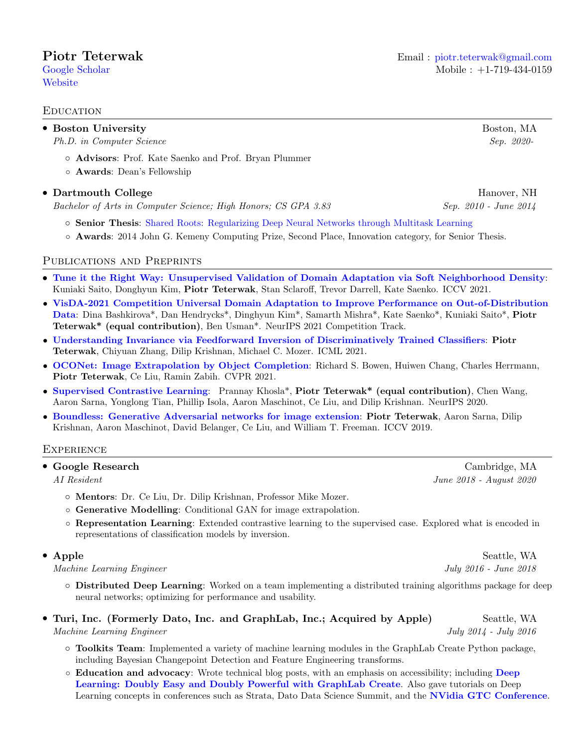**[Website](https://cs-people.bu.edu/piotrt)** 

## **EDUCATION**

| • Boston University<br>Ph.D. in Computer Science                                                 | Boston, MA<br>Sep. 2020-                 |
|--------------------------------------------------------------------------------------------------|------------------------------------------|
| o Advisors: Prof. Kate Saenko and Prof. Bryan Plummer<br>o <b>Awards</b> : Dean's Fellowship     |                                          |
| • Dartmouth College<br>Bachelor of Arts in Computer Science; High Honors; CS GPA 3.83            | Hanover, NH<br>$Sep. 2010$ - June $2014$ |
| <b>Senior Thesis:</b> Shared Roots: Regularizing Deep Neural Networks through Multitask Learning |                                          |

## ◦ Awards: 2014 John G. Kemeny Computing Prize, Second Place, Innovation category, for Senior Thesis.

## Publications and Preprints

- [Tune it the Right Way: Unsupervised Validation of Domain Adaptation via Soft Neighborhood Density](https://arxiv.org/pdf/2108.10860.pdf): Kuniaki Saito, Donghyun Kim, Piotr Teterwak, Stan Sclaroff, Trevor Darrell, Kate Saenko. ICCV 2021.
- [VisDA-2021 Competition Universal Domain Adaptation to Improve Performance on Out-of-Distribution](https://arxiv.org/pdf/2107.11011.pdf) [Data](https://arxiv.org/pdf/2107.11011.pdf): Dina Bashkirova\*, Dan Hendrycks\*, Dinghyun Kim\*, Samarth Mishra\*, Kate Saenko\*, Kuniaki Saito\*, Piotr Teterwak\* (equal contribution), Ben Usman\*. NeurIPS 2021 Competition Track.
- [Understanding Invariance via Feedforward Inversion of Discriminatively Trained Classifiers](http://proceedings.mlr.press/v139/teterwak21a.html): Piotr Teterwak, Chiyuan Zhang, Dilip Krishnan, Michael C. Mozer. ICML 2021.
- [OCONet: Image Extrapolation by Object Completion](https://openaccess.thecvf.com/content/CVPR2021/html/Bowen_OCONet_Image_Extrapolation_by_Object_Completion_CVPR_2021_paper.html): Richard S. Bowen, Huiwen Chang, Charles Herrmann, Piotr Teterwak, Ce Liu, Ramin Zabih. CVPR 2021.
- [Supervised Contrastive Learning](https://arxiv.org/pdf/2004.11362.pdf): Prannay Khosla\*, Piotr Teterwak\* (equal contribution), Chen Wang, Aaron Sarna, Yonglong Tian, Phillip Isola, Aaron Maschinot, Ce Liu, and Dilip Krishnan. NeurIPS 2020.
- [Boundless: Generative Adversarial networks for image extension](https://sites.google.com/view/boundless-iccv/home): Piotr Teterwak, Aaron Sarna, Dilip Krishnan, Aaron Maschinot, David Belanger, Ce Liu, and William T. Freeman. ICCV 2019.

## **EXPERIENCE**

|  |  | • Google Research |
|--|--|-------------------|
|--|--|-------------------|

- Mentors: Dr. Ce Liu, Dr. Dilip Krishnan, Professor Mike Mozer.
- Generative Modelling: Conditional GAN for image extrapolation.
- Representation Learning: Extended contrastive learning to the supervised case. Explored what is encoded in representations of classification models by inversion.

## • Apple Seattle, WA

Machine Learning Engineer July 2016 - June 2018

- Distributed Deep Learning: Worked on a team implementing a distributed training algorithms package for deep neural networks; optimizing for performance and usability.
- Turi, Inc. (Formerly Dato, Inc. and GraphLab, Inc.; Acquired by Apple) Seattle, WA Machine Learning Engineer July 2014 - July 2016
	- Toolkits Team: Implemented a variety of machine learning modules in the GraphLab Create Python package, including Bayesian Changepoint Detection and Feature Engineering transforms.
	- Education and advocacy: Wrote technical blog posts, with an emphasis on accessibility; including [Deep](https://web.archive.org/web/20150317003922/http://blog.dato.com/deep-learning-blog-post) [Learning: Doubly Easy and Doubly Powerful with GraphLab Create](https://web.archive.org/web/20150317003922/http://blog.dato.com/deep-learning-blog-post). Also gave tutorials on Deep Learning concepts in conferences such as Strata, Dato Data Science Summit, and the [NVidia GTC Conference](http://on-demand.gputechconf.com/gtc/2015/presentation/S5630-Piotr-Teterwak.pdf).

Cambridge, MA AI Resident June 2018 - August 2020